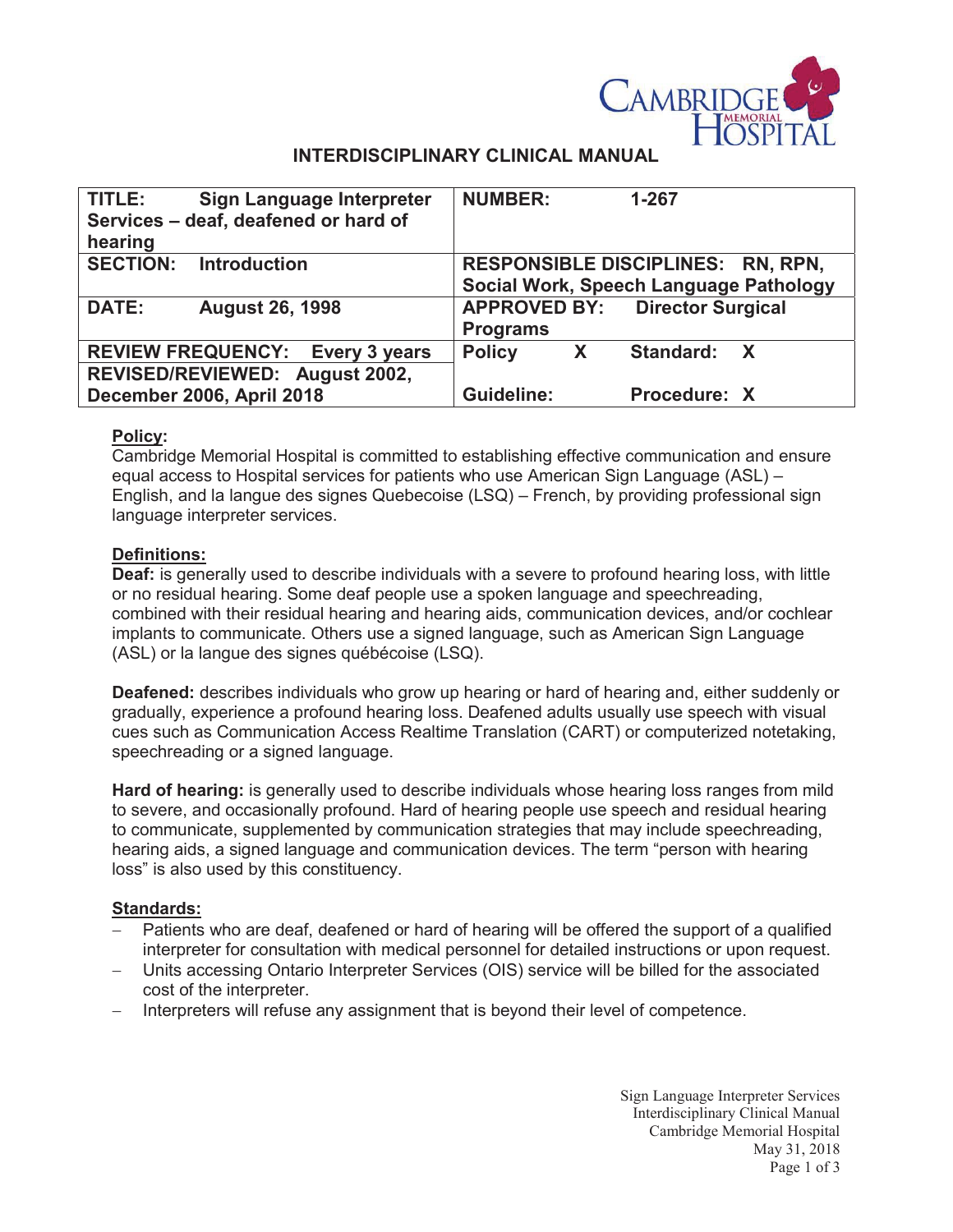

# **INTERDISCIPLINARY CLINICAL MANUAL**

| TITLE:                                 | Sign Language Interpreter<br>Services - deaf, deafened or hard of | <b>NUMBER:</b>                         | $1 - 267$                             |
|----------------------------------------|-------------------------------------------------------------------|----------------------------------------|---------------------------------------|
| hearing                                |                                                                   |                                        |                                       |
|                                        | <b>SECTION: Introduction</b>                                      | RESPONSIBLE DISCIPLINES: RN, RPN,      |                                       |
|                                        |                                                                   | Social Work, Speech Language Pathology |                                       |
| <b>DATE:</b>                           | <b>August 26, 1998</b>                                            |                                        | <b>APPROVED BY: Director Surgical</b> |
|                                        |                                                                   | <b>Programs</b>                        |                                       |
| <b>REVIEW FREQUENCY: Every 3 years</b> |                                                                   | <b>Policy</b><br>X                     | Standard:<br>$\mathbf{X}$             |
| REVISED/REVIEWED: August 2002,         |                                                                   |                                        |                                       |
| December 2006, April 2018              |                                                                   | <b>Guideline:</b>                      | Procedure: X                          |

### **Policy:**

Cambridge Memorial Hospital is committed to establishing effective communication and ensure equal access to Hospital services for patients who use American Sign Language (ASL) – English, and la langue des signes Quebecoise (LSQ) – French, by providing professional sign language interpreter services.

### **Definitions:**

**Deaf:** is generally used to describe individuals with a severe to profound hearing loss, with little or no residual hearing. Some deaf people use a spoken language and speechreading, combined with their residual hearing and hearing aids, communication devices, and/or cochlear implants to communicate. Others use a signed language, such as American Sign Language (ASL) or la langue des signes québécoise (LSQ).

**Deafened:** describes individuals who grow up hearing or hard of hearing and, either suddenly or gradually, experience a profound hearing loss. Deafened adults usually use speech with visual cues such as Communication Access Realtime Translation (CART) or computerized notetaking, speechreading or a signed language.

**Hard of hearing:** is generally used to describe individuals whose hearing loss ranges from mild to severe, and occasionally profound. Hard of hearing people use speech and residual hearing to communicate, supplemented by communication strategies that may include speechreading, hearing aids, a signed language and communication devices. The term "person with hearing loss" is also used by this constituency.

## **Standards:**

- Patients who are deaf, deafened or hard of hearing will be offered the support of a qualified interpreter for consultation with medical personnel for detailed instructions or upon request.
- Units accessing Ontario Interpreter Services (OIS) service will be billed for the associated cost of the interpreter.
- Interpreters will refuse any assignment that is beyond their level of competence.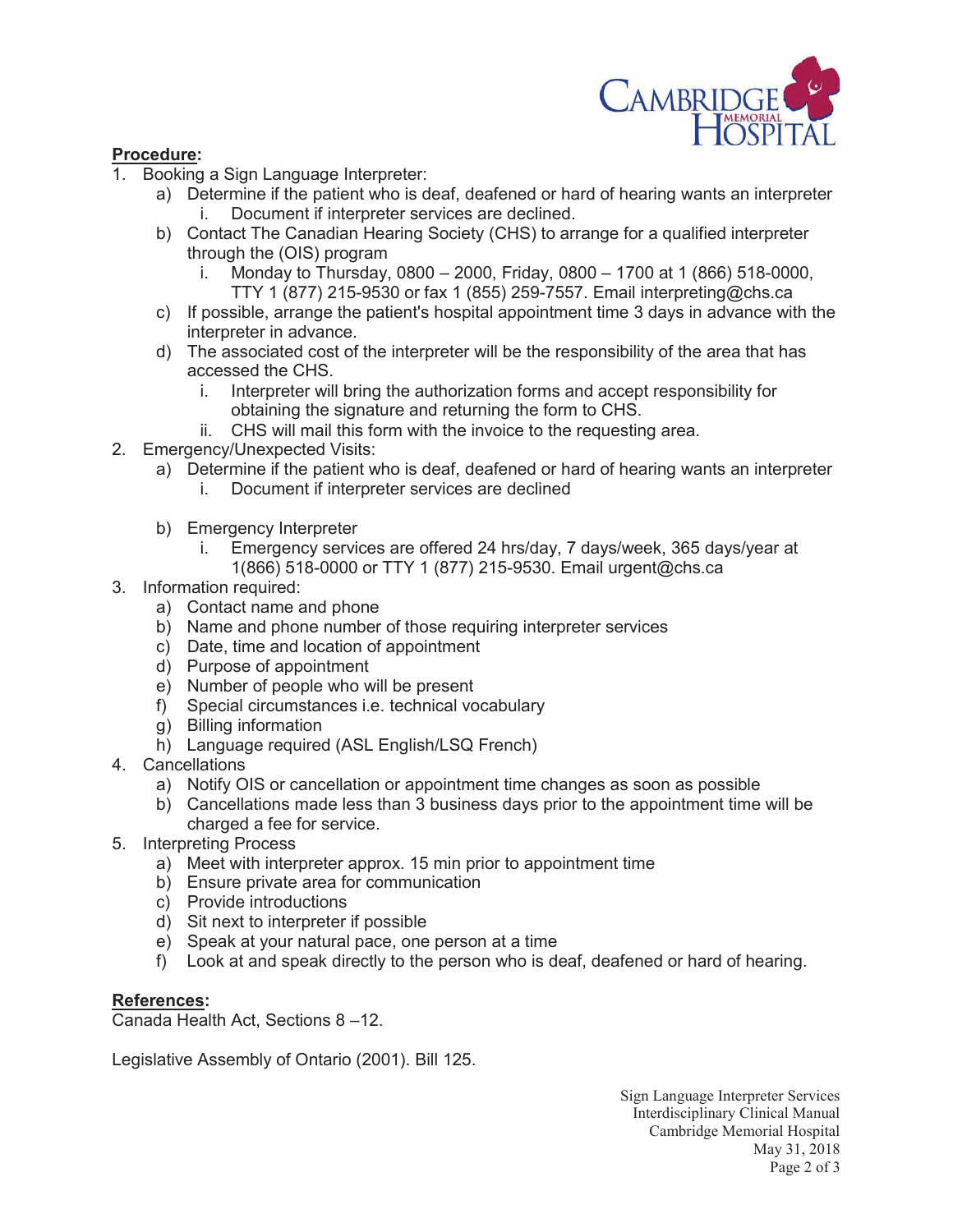

### **Procedure:**

- 1. Booking a Sign Language Interpreter:
	- a) Determine if the patient who is deaf, deafened or hard of hearing wants an interpreter i. Document if interpreter services are declined.
	- b) Contact The Canadian Hearing Society (CHS) to arrange for a qualified interpreter through the (OIS) program
		- i. Monday to Thursday, 0800 2000, Friday, 0800 1700 at 1 (866) 518-0000, TTY 1 (877) 215-9530 or fax 1 (855) 259-7557. Email interpreting@chs.ca
	- c) If possible, arrange the patient's hospital appointment time 3 days in advance with the interpreter in advance.
	- d) The associated cost of the interpreter will be the responsibility of the area that has accessed the CHS.
		- i. Interpreter will bring the authorization forms and accept responsibility for obtaining the signature and returning the form to CHS.
		- ii. CHS will mail this form with the invoice to the requesting area.
- 2. Emergency/Unexpected Visits:
	- a) Determine if the patient who is deaf, deafened or hard of hearing wants an interpreter
		- i. Document if interpreter services are declined
	- b) Emergency Interpreter
		- i. Emergency services are offered 24 hrs/day, 7 days/week, 365 days/year at 1(866) 518-0000 or TTY 1 (877) 215-9530. Email urgent@chs.ca
- 3. Information required:
	- a) Contact name and phone
	- b) Name and phone number of those requiring interpreter services
	- c) Date, time and location of appointment
	- d) Purpose of appointment
	- e) Number of people who will be present
	- f) Special circumstances i.e. technical vocabulary
	- g) Billing information
	- h) Language required (ASL English/LSQ French)
- 4. Cancellations
	- a) Notify OIS or cancellation or appointment time changes as soon as possible
	- b) Cancellations made less than 3 business days prior to the appointment time will be charged a fee for service.
- 5. Interpreting Process
	- a) Meet with interpreter approx. 15 min prior to appointment time
	- b) Ensure private area for communication
	- c) Provide introductions
	- d) Sit next to interpreter if possible
	- e) Speak at your natural pace, one person at a time
	- f) Look at and speak directly to the person who is deaf, deafened or hard of hearing.

### **References:**

Canada Health Act, Sections 8 –12.

Legislative Assembly of Ontario (2001). Bill 125.